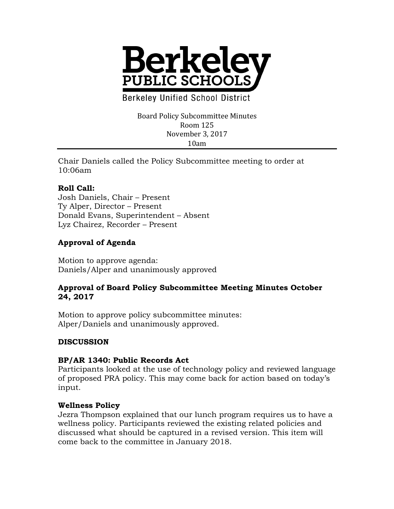

**Berkeley Unified School District** 

Board Policy Subcommittee Minutes Room 125 November 3, 2017 10am

Chair Daniels called the Policy Subcommittee meeting to order at 10:06am

## **Roll Call:**

Josh Daniels, Chair – Present Ty Alper, Director – Present Donald Evans, Superintendent – Absent Lyz Chairez, Recorder – Present

# **Approval of Agenda**

Motion to approve agenda: Daniels/Alper and unanimously approved

### **Approval of Board Policy Subcommittee Meeting Minutes October 24, 2017**

Motion to approve policy subcommittee minutes: Alper/Daniels and unanimously approved.

## **DISCUSSION**

#### **BP/AR 1340: Public Records Act**

Participants looked at the use of technology policy and reviewed language of proposed PRA policy. This may come back for action based on today's input.

#### **Wellness Policy**

Jezra Thompson explained that our lunch program requires us to have a wellness policy. Participants reviewed the existing related policies and discussed what should be captured in a revised version. This item will come back to the committee in January 2018.